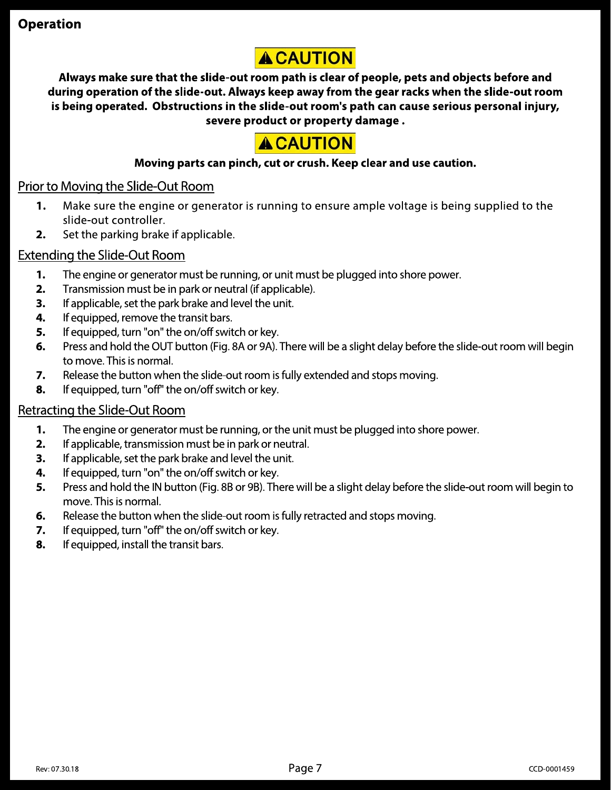<table>\n<tbody>\n<tr>\n<th>Operation</th>\n<th>■</th>\n</tr>\n<tr>\n<td>Always make sure that the slide-out room path is clear of people, pets and objects before and<br/>during operation of the slide-out. Always keep away from the gear racks when the slide-out room<br/>is being operated. Obstructions in the slide-out room's path can cause serious personal injury,<br/>severe product or property damage.</td>\n</tr>\n<tr>\n<td>■</td>\n<td>Chapter 10</td>\n<td>Abstract 10</td>\n<td>Serverly change.</td>\n</tr>\n<tr>\n<td>1. Moving the Silde-Out Room</td>\n</tr>\n<tr>\n<td>1. Make sure the engine or generator is running to ensure ample voltage is being supplied to the<br/>slide-out controller.</td>\n</tr>\n<tr>\n<td>2. Set the **ACAUTION**<br>
So make sure that the slide-out room path is clear of people, pets and objects before and<br>
operation of the slide-out. Always keep away from the gear racks when the slide-out roo<br>
g operated. Obstructions in th

# <u>Prior to Moving the Slide-Out Room</u>

- 1. Make sure the engine or generator is running to ensure ample voltage is being supplied to the 1 slide-out controller.
- $\mathbf{z}. \quad$  Set the parking brake if applicable.

# <u>Extending the Slide-Out Room</u>

- 1. The engine or generator must be running, or unit must be plugged into shore power.
- $2.$  I ransmission must be in park or neutral (if applicable).
- $\mathsf{s.}$  If applicable, set the park brake and level the unit.
- **4.** If equipped, remove the transit bars.
- $\mathsf{S}\mathsf{.}\quad$  If equipped, turn "on" the on/off switch or key.
- $\bullet$ . Press and hold the OUT button (Fig. 8A or 9A). There will be a slight delay before the slide-out room will begin to move. This is normal.
- **7.** Release the button when the slide-out room is fully extended and stops moving.
- $\,$   $\,$   $\,$   $\,$  If equipped, turn "off" the on/off switch or key.  $\,$

# <u>Retracting the Slide-Out Room</u>

- 1. The engine or generator must be running, or the unit must be plugged into shore power.
- $2.$  If applicable, transmission must be in park or neutral.
- $\boldsymbol{3.}$  If applicable, set the park brake and level the unit.
- $\boldsymbol{4.}$  If equipped, turn "on" the on/off switch or key.
- $\mathsf b. \quad$  Press and hold the IN button (Fig. 8B or 9B). There will be a slight delay before the slide-out room will begin to move. This is normal.
- $\bullet$ . Release the button when the slide-out room is fully retracted and stops moving.
- **7.** If equipped, turn "off" the on/off switch or key.
- $\,$   $\,$   $\,$  If equipped, install the transit bars.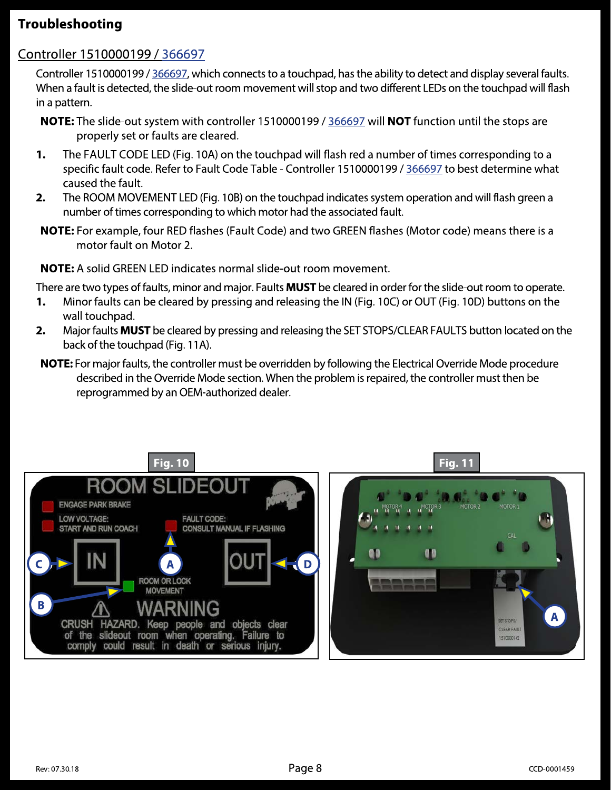# Troubleshooting

# Controller 1510000199 / 366697

Controller 1510000199 / 366697, which connects to a touchpad, has the ability to detect and display several faults. When a fault is detected, the slide-out room movement will stop and two different LEDs on the touchpad will flash in a pattern.

- NOTE: The slide-out system with controller 1510000199 / 366697 will NOT function until the stops are properly set or faults are cleared.
- The FAULT CODE LED (Fig. 10A) on the touchpad will flash red a number of times corresponding to a 1. specific fault code. Refer to Fault Code Table - Controller 1510000199 / 366697 to best determine what caused the fault.
- The ROOM MOVEMENT LED (Fig. 10B) on the touchpad indicates system operation and will flash green a  $2.$ number of times corresponding to which motor had the associated fault.
- NOTE: For example, four RED flashes (Fault Code) and two GREEN flashes (Motor code) means there is a motor fault on Motor 2.

**NOTE:** A solid GREEN LED indicates normal slide-out room movement.

There are two types of faults, minor and major. Faults **MUST** be cleared in order for the slide-out room to operate.

- Minor faults can be cleared by pressing and releasing the IN (Fig. 10C) or OUT (Fig. 10D) buttons on the 1. wall touchpad.
- $2.$ Major faults MUST be cleared by pressing and releasing the SET STOPS/CLEAR FAULTS button located on the back of the touchpad (Fig. 11A).
- NOTE: For major faults, the controller must be overridden by following the Electrical Override Mode procedure described in the Override Mode section. When the problem is repaired, the controller must then be reprogrammed by an OEM-authorized dealer.

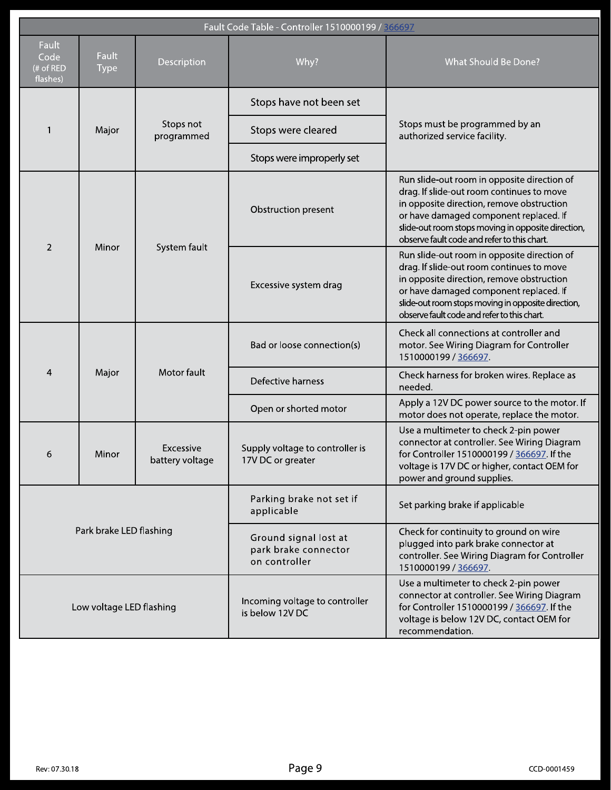| Fault Code Table - Controller 1510000199 / 366697 |                             |                              |                                                                |                                                                                                                                                                                                                                                                                      |  |  |  |  |
|---------------------------------------------------|-----------------------------|------------------------------|----------------------------------------------------------------|--------------------------------------------------------------------------------------------------------------------------------------------------------------------------------------------------------------------------------------------------------------------------------------|--|--|--|--|
| <b>Fault</b><br>Code<br>(# of RED<br>flashes)     | <b>Fault</b><br><b>Type</b> | Description                  | Why?                                                           | What Should Be Done?                                                                                                                                                                                                                                                                 |  |  |  |  |
|                                                   | Major                       | Stops not<br>programmed      | Stops have not been set                                        | Stops must be programmed by an<br>authorized service facility.                                                                                                                                                                                                                       |  |  |  |  |
|                                                   |                             |                              | Stops were cleared                                             |                                                                                                                                                                                                                                                                                      |  |  |  |  |
|                                                   |                             |                              | Stops were improperly set                                      |                                                                                                                                                                                                                                                                                      |  |  |  |  |
| $\overline{2}$                                    | Minor                       | System fault                 | Obstruction present                                            | Run slide-out room in opposite direction of<br>drag. If slide-out room continues to move<br>in opposite direction, remove obstruction<br>or have damaged component replaced. If<br>slide-out room stops moving in opposite direction,<br>observe fault code and refer to this chart. |  |  |  |  |
|                                                   |                             |                              | Excessive system drag                                          | Run slide-out room in opposite direction of<br>drag. If slide-out room continues to move<br>in opposite direction, remove obstruction<br>or have damaged component replaced. If<br>slide-out room stops moving in opposite direction,<br>observe fault code and refer to this chart. |  |  |  |  |
| 4                                                 | Major                       | Motor fault                  | Bad or loose connection(s)                                     | Check all connections at controller and<br>motor. See Wiring Diagram for Controller<br>1510000199 / 366697.                                                                                                                                                                          |  |  |  |  |
|                                                   |                             |                              | Defective harness                                              | Check harness for broken wires. Replace as<br>needed.                                                                                                                                                                                                                                |  |  |  |  |
|                                                   |                             |                              | Open or shorted motor                                          | Apply a 12V DC power source to the motor. If<br>motor does not operate, replace the motor.                                                                                                                                                                                           |  |  |  |  |
| 6                                                 | Minor                       | Excessive<br>battery voltage | Supply voltage to controller is<br>17V DC or greater           | Use a multimeter to check 2-pin power<br>connector at controller. See Wiring Diagram<br>for Controller 1510000199 / 366697. If the<br>voltage is 17V DC or higher, contact OEM for<br>power and ground supplies.                                                                     |  |  |  |  |
| Park brake LED flashing                           |                             |                              | Parking brake not set if<br>applicable                         | Set parking brake if applicable                                                                                                                                                                                                                                                      |  |  |  |  |
|                                                   |                             |                              | Ground signal lost at<br>park brake connector<br>on controller | Check for continuity to ground on wire<br>plugged into park brake connector at<br>controller. See Wiring Diagram for Controller<br>1510000199 / 366697.                                                                                                                              |  |  |  |  |
| Low voltage LED flashing                          |                             |                              | Incoming voltage to controller<br>is below 12V DC              | Use a multimeter to check 2-pin power<br>connector at controller. See Wiring Diagram<br>for Controller 1510000199 / 366697. If the<br>voltage is below 12V DC, contact OEM for<br>recommendation.                                                                                    |  |  |  |  |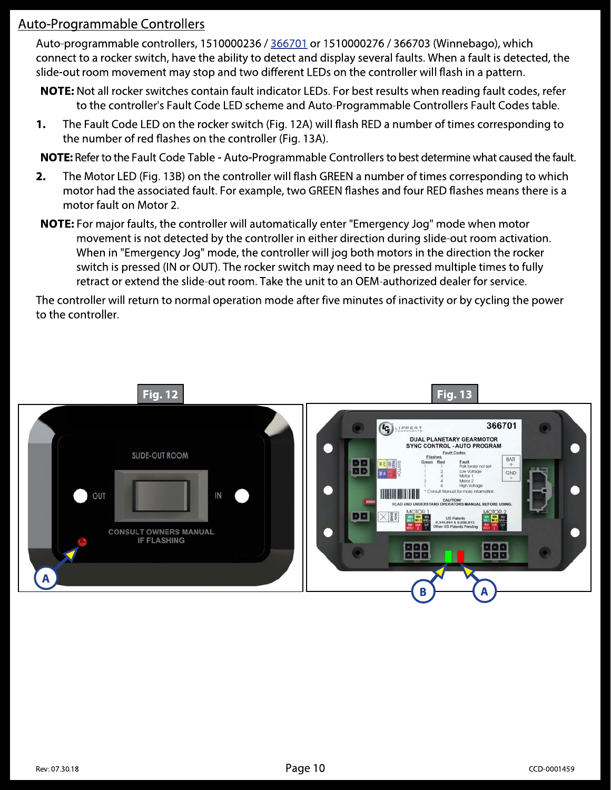# Auto-Programmable Controllers

Auto-programmable controllers, 1510000236 / 366701 or 1510000276 / 366703 (Winnebago), which connect to a rocker switch, have the ability to detect and display several faults. When a fault is detected, the slide-out room movement may stop and two different LEDs on the controller will flash in a pattern.

NOTE: Not all rocker switches contain fault indicator LEDs. For best results when reading fault codes, refer to the controller's Fault Code LED scheme and Auto-Programmable Controllers Fault Codes table.

The Fault Code LED on the rocker switch (Fig. 12A) will flash RED a number of times corresponding to 1. the number of red flashes on the controller (Fig. 13A).

NOTE: Refer to the Fault Code Table - Auto-Programmable Controllers to best determine what caused the fault.

- $2.$ The Motor LED (Fig. 13B) on the controller will flash GREEN a number of times corresponding to which motor had the associated fault. For example, two GREEN flashes and four RED flashes means there is a motor fault on Motor 2.
- **NOTE:** For major faults, the controller will automatically enter "Emergency Jog" mode when motor movement is not detected by the controller in either direction during slide-out room activation. When in "Emergency Jog" mode, the controller will jog both motors in the direction the rocker switch is pressed (IN or OUT). The rocker switch may need to be pressed multiple times to fully retract or extend the slide-out room. Take the unit to an OEM-authorized dealer for service.

The controller will return to normal operation mode after five minutes of inactivity or by cycling the power to the controller.

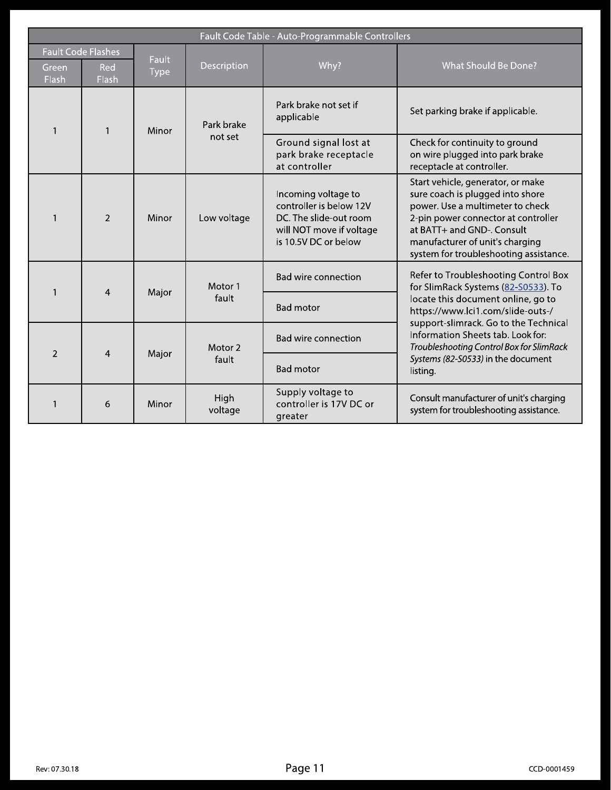| Fault Code Table - Auto-Programmable Controllers |                |              |                       |                                                                                                                              |                                                                                                                                                                                                                                                                                                                                    |  |  |
|--------------------------------------------------|----------------|--------------|-----------------------|------------------------------------------------------------------------------------------------------------------------------|------------------------------------------------------------------------------------------------------------------------------------------------------------------------------------------------------------------------------------------------------------------------------------------------------------------------------------|--|--|
| <b>Fault Code Flashes</b>                        |                | <b>Fault</b> |                       |                                                                                                                              |                                                                                                                                                                                                                                                                                                                                    |  |  |
| Green<br>Flash                                   | Red<br>Flash   | <b>Type</b>  | Description           | Why?                                                                                                                         | <b>What Should Be Done?</b>                                                                                                                                                                                                                                                                                                        |  |  |
| $\mathbf{1}$                                     | 1              | Minor        | Park brake<br>not set | Park brake not set if<br>applicable                                                                                          | Set parking brake if applicable.                                                                                                                                                                                                                                                                                                   |  |  |
|                                                  |                |              |                       | Ground signal lost at<br>park brake receptacle<br>at controller                                                              | Check for continuity to ground<br>on wire plugged into park brake<br>receptacle at controller.                                                                                                                                                                                                                                     |  |  |
|                                                  | $\overline{2}$ | Minor        | Low voltage           | Incoming voltage to<br>controller is below 12V<br>DC. The slide-out room<br>will NOT move if voltage<br>is 10.5V DC or below | Start vehicle, generator, or make<br>sure coach is plugged into shore<br>power. Use a multimeter to check<br>2-pin power connector at controller<br>at BATT+ and GND-. Consult<br>manufacturer of unit's charging<br>system for troubleshooting assistance.                                                                        |  |  |
|                                                  | $\overline{4}$ | Major        | Motor 1<br>fault      | <b>Bad wire connection</b>                                                                                                   | Refer to Troubleshooting Control Box<br>for SlimRack Systems (82-S0533). To<br>locate this document online, go to<br>https://www.lci1.com/slide-outs-/<br>support-slimrack. Go to the Technical<br>Information Sheets tab. Look for:<br>Troubleshooting Control Box for SlimRack<br>Systems (82-S0533) in the document<br>listing. |  |  |
|                                                  |                |              |                       | <b>Bad motor</b>                                                                                                             |                                                                                                                                                                                                                                                                                                                                    |  |  |
| $\overline{2}$                                   | $\overline{4}$ | Major        | Motor 2<br>fault      | <b>Bad wire connection</b>                                                                                                   |                                                                                                                                                                                                                                                                                                                                    |  |  |
|                                                  |                |              |                       | <b>Bad motor</b>                                                                                                             |                                                                                                                                                                                                                                                                                                                                    |  |  |
|                                                  | 6              | Minor        | High<br>voltage       | Supply voltage to<br>controller is 17V DC or<br>greater                                                                      | Consult manufacturer of unit's charging<br>system for troubleshooting assistance.                                                                                                                                                                                                                                                  |  |  |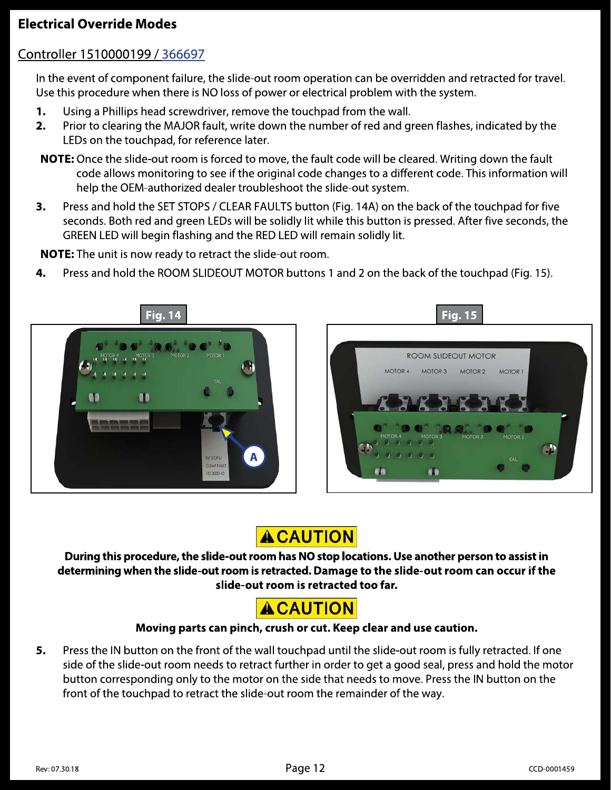# **Electrical Override Modes**

# Controller 1510000199 / 366697

In the event of component failure, the slide-out room operation can be overridden and retracted for travel. Use this procedure when there is NO loss of power or electrical problem with the system.

- 1. Using a Phillips head screwdriver, remove the touchpad from the wall.
- $2.$ Prior to clearing the MAJOR fault, write down the number of red and green flashes, indicated by the LEDs on the touchpad, for reference later.
- NOTE: Once the slide-out room is forced to move, the fault code will be cleared. Writing down the fault code allows monitoring to see if the original code changes to a different code. This information will help the OEM-authorized dealer troubleshoot the slide-out system.
- Press and hold the SET STOPS / CLEAR FAULTS button (Fig. 14A) on the back of the touchpad for five 3. seconds. Both red and green LEDs will be solidly lit while this button is pressed. After five seconds, the GREEN LED will begin flashing and the RED LED will remain solidly lit.

NOTE: The unit is now ready to retract the slide-out room.

4. Press and hold the ROOM SLIDEOUT MOTOR buttons 1 and 2 on the back of the touchpad (Fig. 15).





# **ACAUTION**

During this procedure, the slide-out room has NO stop locations. Use another person to assist in determining when the slide-out room is retracted. Damage to the slide-out room can occur if the slide-out room is retracted too far.



### Moving parts can pinch, crush or cut. Keep clear and use caution.

Press the IN button on the front of the wall touchpad until the slide-out room is fully retracted. If one 5. side of the slide-out room needs to retract further in order to get a good seal, press and hold the motor button corresponding only to the motor on the side that needs to move. Press the IN button on the front of the touchpad to retract the slide-out room the remainder of the way.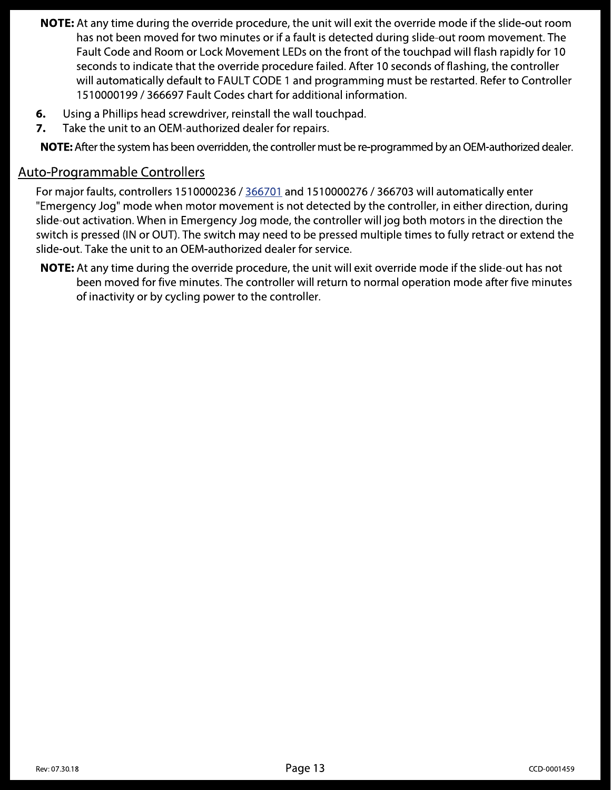- NOTE: At any time during the override procedure, the unit will exit the override mode if the slide-out room has not been moved for two minutes or if a fault is detected during slide-out room movement. The Fault Code and Room or Lock Movement LEDs on the front of the touchpad will flash rapidly for 10 seconds to indicate that the override procedure failed. After 10 seconds of flashing, the controller will automatically default to FAULT CODE 1 and programming must be restarted. Refer to Controller 1510000199 / 366697 Fault Codes chart for additional information.
- Using a Phillips head screwdriver, reinstall the wall touchpad. 6.
- Take the unit to an OEM-authorized dealer for repairs. 7.

NOTE: After the system has been overridden, the controller must be re-programmed by an OEM-authorized dealer.

## Auto-Programmable Controllers

For major faults, controllers 1510000236 / 366701 and 1510000276 / 366703 will automatically enter "Emergency Jog" mode when motor movement is not detected by the controller, in either direction, during slide-out activation. When in Emergency Jog mode, the controller will jog both motors in the direction the switch is pressed (IN or OUT). The switch may need to be pressed multiple times to fully retract or extend the slide-out. Take the unit to an OEM-authorized dealer for service.

**NOTE:** At any time during the override procedure, the unit will exit override mode if the slide-out has not been moved for five minutes. The controller will return to normal operation mode after five minutes of inactivity or by cycling power to the controller.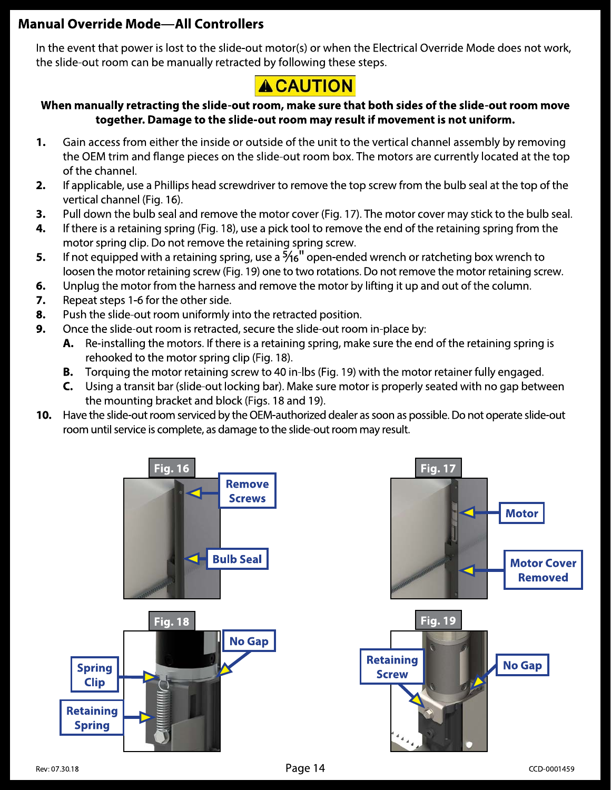# **Manual Override Mode-All Controllers**

In the event that power is lost to the slide-out motor(s) or when the Electrical Override Mode does not work, the slide-out room can be manually retracted by following these steps.

# **ACAUTION**

### When manually retracting the slide-out room, make sure that both sides of the slide-out room move together. Damage to the slide-out room may result if movement is not uniform.

- 1. Gain access from either the inside or outside of the unit to the vertical channel assembly by removing the OEM trim and flange pieces on the slide-out room box. The motors are currently located at the top of the channel.
- If applicable, use a Phillips head screwdriver to remove the top screw from the bulb seal at the top of the 2. vertical channel (Fig. 16).
- 3. Pull down the bulb seal and remove the motor cover (Fig. 17). The motor cover may stick to the bulb seal.
- 4. If there is a retaining spring (Fig. 18), use a pick tool to remove the end of the retaining spring from the motor spring clip. Do not remove the retaining spring screw.
- If not equipped with a retaining spring, use a  $\frac{5}{16}$  open-ended wrench or ratcheting box wrench to 5. loosen the motor retaining screw (Fig. 19) one to two rotations. Do not remove the motor retaining screw.
- 6. Unplug the motor from the harness and remove the motor by lifting it up and out of the column.
- 7. Repeat steps 1-6 for the other side.
- 8. Push the slide-out room uniformly into the retracted position.
- 9. Once the slide-out room is retracted, secure the slide-out room in-place by:
	- A. Re-installing the motors. If there is a retaining spring, make sure the end of the retaining spring is rehooked to the motor spring clip (Fig. 18).
	- Torquing the motor retaining screw to 40 in-lbs (Fig. 19) with the motor retainer fully engaged. В.
	- C. Using a transit bar (slide-out locking bar). Make sure motor is properly seated with no gap between the mounting bracket and block (Figs. 18 and 19).
- 10. Have the slide-out room serviced by the OEM-authorized dealer as soon as possible. Do not operate slide-out room until service is complete, as damage to the slide-out room may result.

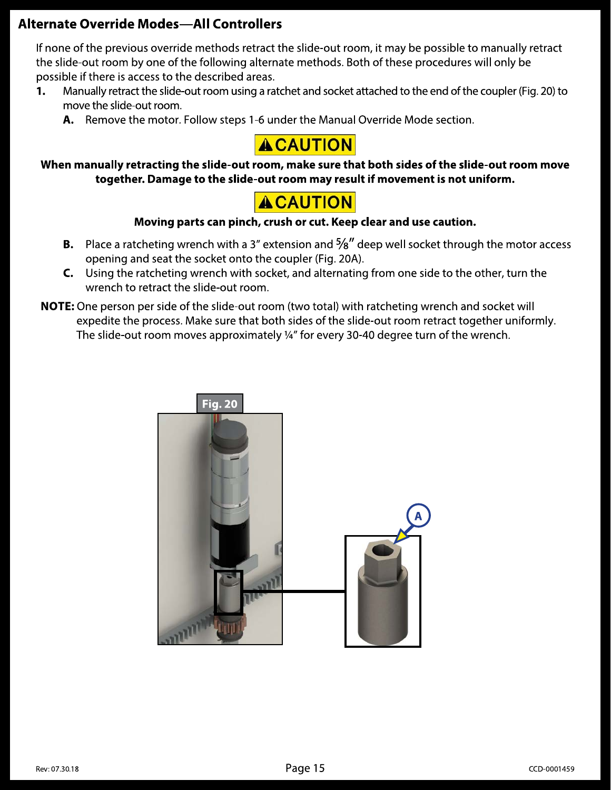# **Alternate Override Modes-All Controllers**

If none of the previous override methods retract the slide-out room, it may be possible to manually retract the slide-out room by one of the following alternate methods. Both of these procedures will only be possible if there is access to the described areas.

- Manually retract the slide-out room using a ratchet and socket attached to the end of the coupler (Fig. 20) to 1. move the slide-out room.
	- A. Remove the motor. Follow steps 1-6 under the Manual Override Mode section.



When manually retracting the slide-out room, make sure that both sides of the slide-out room move together. Damage to the slide-out room may result if movement is not uniform.

# **ACAUTION**

### Moving parts can pinch, crush or cut. Keep clear and use caution.

- **B.** Place a ratcheting wrench with a 3" extension and  $\frac{5}{8}$ " deep well socket through the motor access opening and seat the socket onto the coupler (Fig. 20A).
- C. Using the ratcheting wrench with socket, and alternating from one side to the other, turn the wrench to retract the slide-out room.
- **NOTE:** One person per side of the slide-out room (two total) with ratcheting wrench and socket will expedite the process. Make sure that both sides of the slide-out room retract together uniformly. The slide-out room moves approximately 1/4" for every 30-40 degree turn of the wrench.